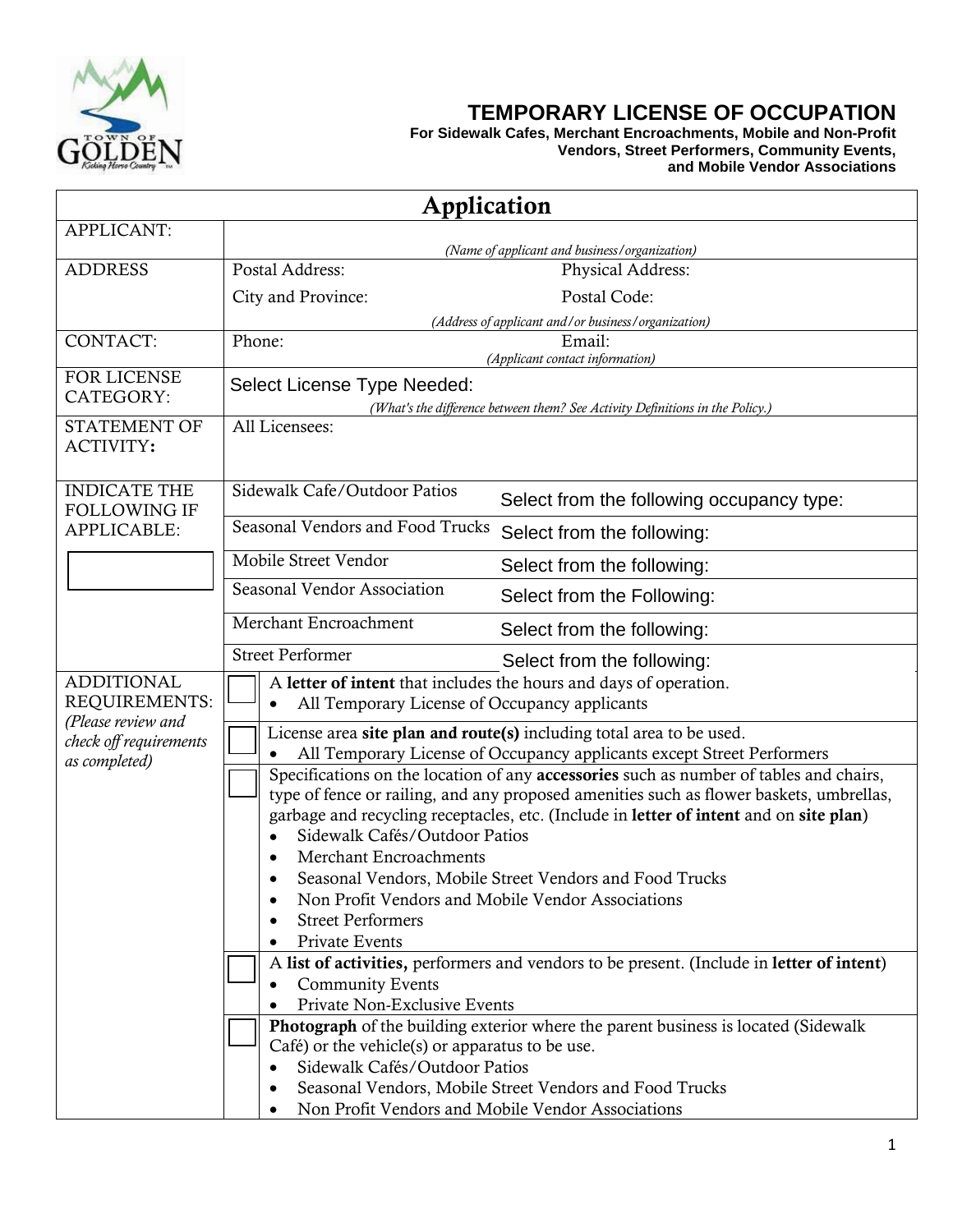

## **TEMPORARY LICENSE OF OCCUPATION**

**For Sidewalk Cafes, Merchant Encroachments, Mobile and Non-Profit Vendors, Street Performers, Community Events, and Mobile Vendor Associations**

| Application                                               |                                                                                                                                                                                                                                                                                                              |  |  |  |
|-----------------------------------------------------------|--------------------------------------------------------------------------------------------------------------------------------------------------------------------------------------------------------------------------------------------------------------------------------------------------------------|--|--|--|
| APPLICANT:                                                |                                                                                                                                                                                                                                                                                                              |  |  |  |
|                                                           | (Name of applicant and business/organization)                                                                                                                                                                                                                                                                |  |  |  |
| <b>ADDRESS</b>                                            | Postal Address:<br>Physical Address:                                                                                                                                                                                                                                                                         |  |  |  |
|                                                           | Postal Code:<br>City and Province:                                                                                                                                                                                                                                                                           |  |  |  |
|                                                           | (Address of applicant and/or business/organization)                                                                                                                                                                                                                                                          |  |  |  |
| <b>CONTACT:</b>                                           | Phone:<br>Email:<br>(Applicant contact information)                                                                                                                                                                                                                                                          |  |  |  |
| FOR LICENSE<br>CATEGORY:                                  | Select License Type Needed:                                                                                                                                                                                                                                                                                  |  |  |  |
| <b>STATEMENT OF</b>                                       | (What's the difference between them? See Activity Definitions in the Policy.)<br>All Licensees:                                                                                                                                                                                                              |  |  |  |
| ACTIVITY:                                                 |                                                                                                                                                                                                                                                                                                              |  |  |  |
| <b>INDICATE THE</b><br><b>FOLLOWING IF</b><br>APPLICABLE: | Sidewalk Cafe/Outdoor Patios<br>Select from the following occupancy type:                                                                                                                                                                                                                                    |  |  |  |
|                                                           | Seasonal Vendors and Food Trucks<br>Select from the following:                                                                                                                                                                                                                                               |  |  |  |
|                                                           | Mobile Street Vendor<br>Select from the following:                                                                                                                                                                                                                                                           |  |  |  |
|                                                           | Seasonal Vendor Association<br>Select from the Following:                                                                                                                                                                                                                                                    |  |  |  |
|                                                           | Merchant Encroachment<br>Select from the following:                                                                                                                                                                                                                                                          |  |  |  |
|                                                           | <b>Street Performer</b><br>Select from the following:                                                                                                                                                                                                                                                        |  |  |  |
| <b>ADDITIONAL</b>                                         | A letter of intent that includes the hours and days of operation.                                                                                                                                                                                                                                            |  |  |  |
| REQUIREMENTS:                                             | All Temporary License of Occupancy applicants                                                                                                                                                                                                                                                                |  |  |  |
| (Please review and<br>check off requirements              | License area site plan and route(s) including total area to be used.                                                                                                                                                                                                                                         |  |  |  |
| as completed)                                             | All Temporary License of Occupancy applicants except Street Performers                                                                                                                                                                                                                                       |  |  |  |
|                                                           | Specifications on the location of any accessories such as number of tables and chairs,<br>type of fence or railing, and any proposed amenities such as flower baskets, umbrellas,<br>garbage and recycling receptacles, etc. (Include in letter of intent and on site plan)<br>Sidewalk Cafés/Outdoor Patios |  |  |  |
|                                                           | Merchant Encroachments                                                                                                                                                                                                                                                                                       |  |  |  |
|                                                           | Seasonal Vendors, Mobile Street Vendors and Food Trucks                                                                                                                                                                                                                                                      |  |  |  |
|                                                           | Non Profit Vendors and Mobile Vendor Associations<br><b>Street Performers</b>                                                                                                                                                                                                                                |  |  |  |
|                                                           | Private Events                                                                                                                                                                                                                                                                                               |  |  |  |
|                                                           | A list of activities, performers and vendors to be present. (Include in letter of intent)                                                                                                                                                                                                                    |  |  |  |
|                                                           | <b>Community Events</b>                                                                                                                                                                                                                                                                                      |  |  |  |
|                                                           | Private Non-Exclusive Events                                                                                                                                                                                                                                                                                 |  |  |  |
|                                                           | Photograph of the building exterior where the parent business is located (Sidewalk                                                                                                                                                                                                                           |  |  |  |
|                                                           | Café) or the vehicle(s) or apparatus to be use.                                                                                                                                                                                                                                                              |  |  |  |
|                                                           | Sidewalk Cafés/Outdoor Patios                                                                                                                                                                                                                                                                                |  |  |  |
|                                                           | Seasonal Vendors, Mobile Street Vendors and Food Trucks                                                                                                                                                                                                                                                      |  |  |  |
|                                                           | Non Profit Vendors and Mobile Vendor Associations                                                                                                                                                                                                                                                            |  |  |  |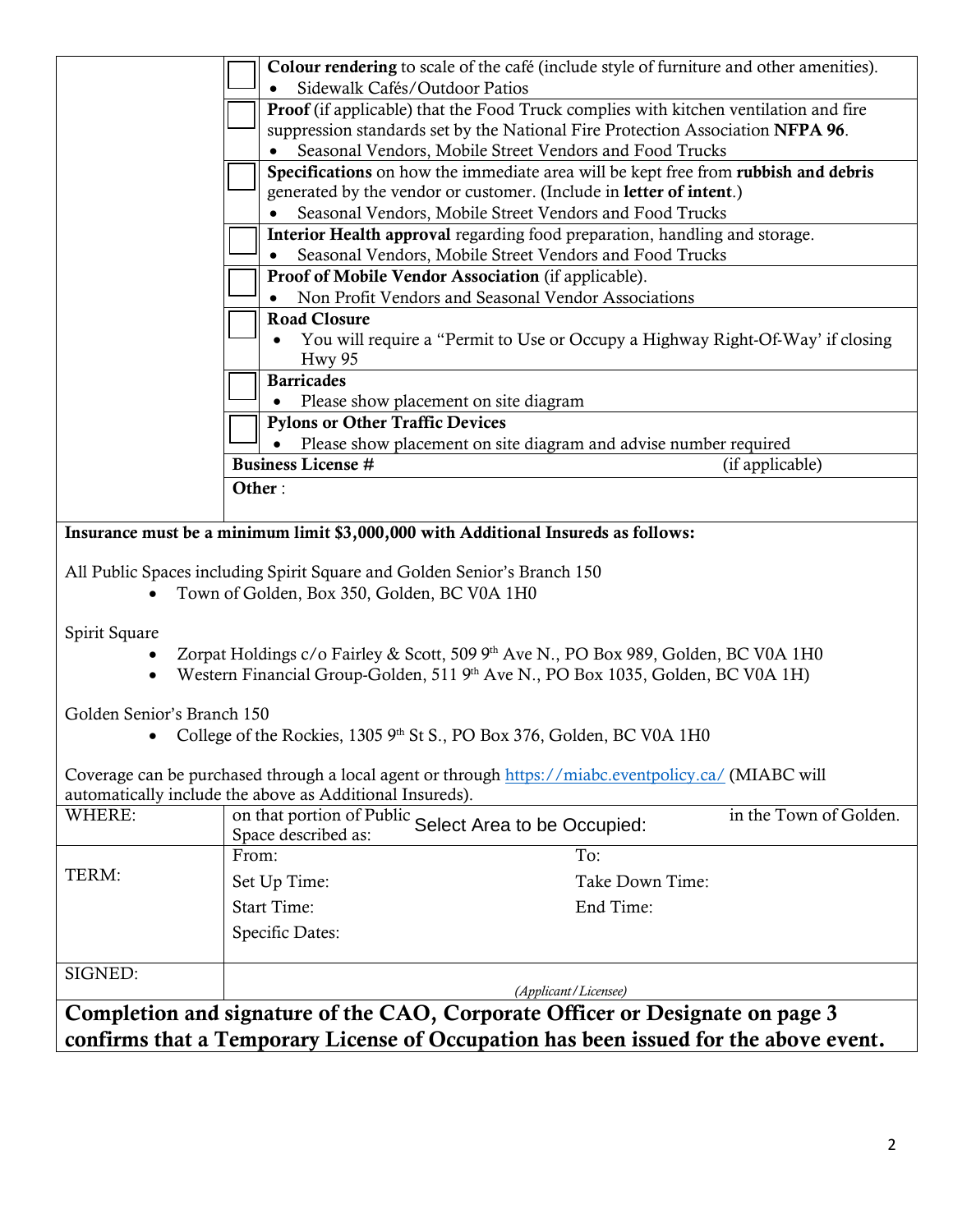|                                                                                                                                                                        |                                                                                                                         | Colour rendering to scale of the café (include style of furniture and other amenities).                                                       |  |  |
|------------------------------------------------------------------------------------------------------------------------------------------------------------------------|-------------------------------------------------------------------------------------------------------------------------|-----------------------------------------------------------------------------------------------------------------------------------------------|--|--|
|                                                                                                                                                                        | Sidewalk Cafés/Outdoor Patios                                                                                           |                                                                                                                                               |  |  |
|                                                                                                                                                                        |                                                                                                                         | Proof (if applicable) that the Food Truck complies with kitchen ventilation and fire                                                          |  |  |
|                                                                                                                                                                        |                                                                                                                         | suppression standards set by the National Fire Protection Association NFPA 96.                                                                |  |  |
|                                                                                                                                                                        |                                                                                                                         | Seasonal Vendors, Mobile Street Vendors and Food Trucks<br>Specifications on how the immediate area will be kept free from rubbish and debris |  |  |
|                                                                                                                                                                        |                                                                                                                         | generated by the vendor or customer. (Include in letter of intent.)                                                                           |  |  |
|                                                                                                                                                                        |                                                                                                                         | Seasonal Vendors, Mobile Street Vendors and Food Trucks                                                                                       |  |  |
|                                                                                                                                                                        |                                                                                                                         | Interior Health approval regarding food preparation, handling and storage.                                                                    |  |  |
|                                                                                                                                                                        |                                                                                                                         | Seasonal Vendors, Mobile Street Vendors and Food Trucks                                                                                       |  |  |
|                                                                                                                                                                        |                                                                                                                         | Proof of Mobile Vendor Association (if applicable).                                                                                           |  |  |
|                                                                                                                                                                        |                                                                                                                         | Non Profit Vendors and Seasonal Vendor Associations                                                                                           |  |  |
|                                                                                                                                                                        | <b>Road Closure</b>                                                                                                     |                                                                                                                                               |  |  |
|                                                                                                                                                                        |                                                                                                                         | You will require a "Permit to Use or Occupy a Highway Right-Of-Way' if closing                                                                |  |  |
|                                                                                                                                                                        | <b>Hwy 95</b>                                                                                                           |                                                                                                                                               |  |  |
|                                                                                                                                                                        | <b>Barricades</b>                                                                                                       |                                                                                                                                               |  |  |
|                                                                                                                                                                        |                                                                                                                         | Please show placement on site diagram                                                                                                         |  |  |
|                                                                                                                                                                        | <b>Pylons or Other Traffic Devices</b>                                                                                  |                                                                                                                                               |  |  |
|                                                                                                                                                                        |                                                                                                                         | Please show placement on site diagram and advise number required                                                                              |  |  |
|                                                                                                                                                                        | <b>Business License #</b>                                                                                               | (if applicable)                                                                                                                               |  |  |
|                                                                                                                                                                        | Other:                                                                                                                  |                                                                                                                                               |  |  |
|                                                                                                                                                                        |                                                                                                                         |                                                                                                                                               |  |  |
|                                                                                                                                                                        |                                                                                                                         | Insurance must be a minimum limit \$3,000,000 with Additional Insureds as follows:                                                            |  |  |
|                                                                                                                                                                        | All Public Spaces including Spirit Square and Golden Senior's Branch 150<br>Town of Golden, Box 350, Golden, BC V0A 1H0 |                                                                                                                                               |  |  |
|                                                                                                                                                                        |                                                                                                                         |                                                                                                                                               |  |  |
| Spirit Square                                                                                                                                                          |                                                                                                                         |                                                                                                                                               |  |  |
| Zorpat Holdings c/o Fairley & Scott, 509 9th Ave N., PO Box 989, Golden, BC V0A 1H0<br>Western Financial Group-Golden, 511 9th Ave N., PO Box 1035, Golden, BC V0A 1H) |                                                                                                                         |                                                                                                                                               |  |  |
|                                                                                                                                                                        |                                                                                                                         |                                                                                                                                               |  |  |
| Golden Senior's Branch 150                                                                                                                                             |                                                                                                                         |                                                                                                                                               |  |  |
|                                                                                                                                                                        |                                                                                                                         | College of the Rockies, 1305 9th St S., PO Box 376, Golden, BC V0A 1H0                                                                        |  |  |
|                                                                                                                                                                        |                                                                                                                         |                                                                                                                                               |  |  |
|                                                                                                                                                                        |                                                                                                                         | Coverage can be purchased through a local agent or through https://miabc.eventpolicy.ca/ (MIABC will                                          |  |  |
|                                                                                                                                                                        | automatically include the above as Additional Insureds).                                                                |                                                                                                                                               |  |  |
| WHERE:                                                                                                                                                                 | Space described as:                                                                                                     | in the Town of Golden.<br>on that portion of Public Select Area to be Occupied:                                                               |  |  |
|                                                                                                                                                                        | From:                                                                                                                   | To:                                                                                                                                           |  |  |
| TERM:                                                                                                                                                                  | Set Up Time:                                                                                                            | Take Down Time:                                                                                                                               |  |  |
|                                                                                                                                                                        | <b>Start Time:</b>                                                                                                      | End Time:                                                                                                                                     |  |  |
|                                                                                                                                                                        |                                                                                                                         |                                                                                                                                               |  |  |
|                                                                                                                                                                        | Specific Dates:                                                                                                         |                                                                                                                                               |  |  |
| SIGNED:                                                                                                                                                                |                                                                                                                         |                                                                                                                                               |  |  |
| (Applicant/Licensee)                                                                                                                                                   |                                                                                                                         |                                                                                                                                               |  |  |
|                                                                                                                                                                        |                                                                                                                         | Completion and signature of the CAO, Corporate Officer or Designate on page 3                                                                 |  |  |
|                                                                                                                                                                        |                                                                                                                         | confirms that a Temporary License of Occupation has been issued for the above event.                                                          |  |  |